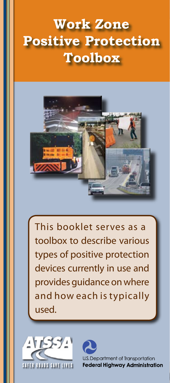# **Work Zone Positive Protection Toolbox**



This booklet serves as a toolbox to describe various types of positive protection devices currently in use and provides guidance on where and how each is typically used.



U.S. Department of Transportation **Federal Highway Administration**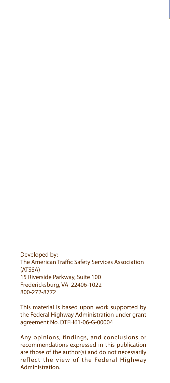Developed by: The American Traffic Safety Services Association (ATSSA) 15 Riverside Parkway, Suite 100 Fredericksburg, VA 22406-1022 800-272-8772

This material is based upon work supported by the Federal Highway Administration under grant agreement No. DTFH61-06-G-00004

Any opinions, findings, and conclusions or recommendations expressed in this publication are those of the author(s) and do not necessarily reflect the view of the Federal Highway Administration.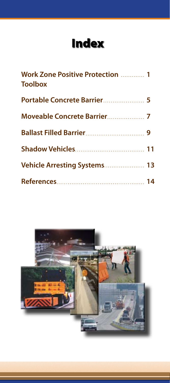## Index

| Work Zone Positive Protection  1<br><b>Toolbox</b> |  |
|----------------------------------------------------|--|
| Portable Concrete Barrier 5                        |  |
|                                                    |  |
|                                                    |  |
|                                                    |  |
| Vehicle Arresting Systems 13                       |  |
|                                                    |  |

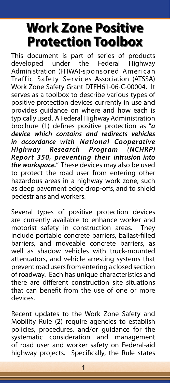## **Work Zone Positive Protection Toolbox**

This document is part of series of products developed under the Federal Highway Administration (FHWA)-sponsored American Traffic Safety Services Association (ATSSA) Work Zone Safety Grant DTFH61-06-C-00004. It serves as a toolbox to describe various types of positive protection devices currently in use and provides guidance on where and how each is typically used. A Federal Highway Administration brochure (1) defines positive protection as "*a device which contains and redirects vehicles in accordance with National Cooperative Highway Research Program (NCHRP) Report 350, preventing their intrusion into the workspace.*" These devices may also be used to protect the road user from entering other hazardous areas in a highway work zone, such as deep pavement edge drop-offs, and to shield pedestrians and workers.

Several types of positive protection devices are currently available to enhance worker and motorist safety in construction areas. They include portable concrete barriers, ballast-filled barriers, and moveable concrete barriers, as well as shadow vehicles with truck-mounted attenuators, and vehicle arresting systems that prevent road users from entering a closed section of roadway. Each has unique characteristics and there are different construction site situations that can benefit from the use of one or more devices.

Recent updates to the Work Zone Safety and Mobility Rule (2) require agencies to establish policies, procedures, and/or guidance for the systematic consideration and management of road user and worker safety on Federal-aid highway projects. Specifically, the Rule states

**1**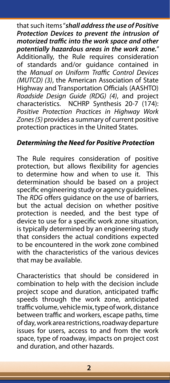that such items "*shall address the use of Positive Protection Devices to prevent the intrusion of motorized traffic into the work space and other potentially hazardous areas in the work zone.*" Additionally, the Rule requires consideration of standards and/or guidance contained in the *Manual on Uniform Traffic Control Devices (MUTCD) (3)*, the American Association of State Highway and Transportation Officials (AASHTO) *Roadside Design Guide (RDG) (4)*, and project characteristics. NCHRP Synthesis 20-7 (174): *Positive Protection Practices in Highway Work Zones (5)* provides a summary of current positive protection practices in the United States.

### *Determining the Need for Positive Protection*

The Rule requires consideration of positive protection, but allows flexibility for agencies to determine how and when to use it. This determination should be based on a project specific engineering study or agency guidelines. The *RDG* offers guidance on the use of barriers, but the actual decision on whether positive protection is needed, and the best type of device to use for a specific work zone situation, is typically determined by an engineering study that considers the actual conditions expected to be encountered in the work zone combined with the characteristics of the various devices that may be available.

Characteristics that should be considered in combination to help with the decision include project scope and duration, anticipated traffic speeds through the work zone, anticipated traffic volume, vehicle mix, type of work, distance between traffic and workers, escape paths, time of day, work area restrictions, roadway departure issues for users, access to and from the work space, type of roadway, impacts on project cost and duration, and other hazards.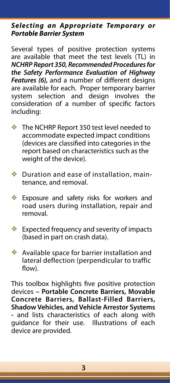#### **Selecting an Appropriate Temporary or** *Portable Barrier System*

Several types of positive protection systems are available that meet the test levels (TL) in *NCHRP Report 350, Recommended Procedures for the Safety Performance Evaluation of Highway Features (6),* and a number of different designs are available for each. Proper temporary barrier system selection and design involves the consideration of a number of specific factors including:

- $\bullet$  The NCHRP Report 350 test level needed to accommodate expected impact conditions accommodate expected impact conditions (devices are classified into categories in the (devices are classified into categories in the report based on characteristics such as the report based on characteristics such as the weight of the device). weight of the device).
- v Duration and ease of installation, Duration and ease of installation, maintenance, and removal.
- v Exposure and safety risks for workers and Exposure and safety risks for workers and road users during installation, repair and removal. removal.
- v Expected frequency and severity of Expected frequency and severity of impacts (based in part on crash data).
- v Available space for barrier installation and Available space for barrier installation and lateral deflection (perpendicular to traffic lateral deflection (perpendicular to traffic flow). flow).

This toolbox highlights five positive protection devices **– Portable Concrete Barriers, Movable Concrete Barriers, Ballast-Filled Barriers, Shadow Vehicles, and Vehicle Arrestor Systems -** and lists characteristics of each along with guidance for their use. Illustrations of each device are provided.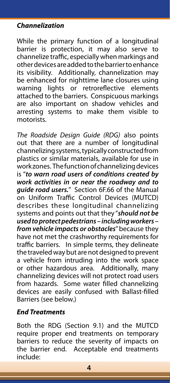### *Channelization*

While the primary function of a longitudinal barrier is protection, it may also serve to channelize traffic, especially when markings and other devices are added to the barrier to enhance its visibility. Additionally, channelization may be enhanced for nighttime lane closures using warning lights or retroreflective elements attached to the barriers. Conspicuous markings are also important on shadow vehicles and arresting systems to make them visible to motorists.

*The Roadside Design Guide (RDG)* also points out that there are a number of longitudinal channelizing systems, typically constructed from plastics or similar materials, available for use in work zones. The function of channelizing devices is "*to warn road users of conditions created by work activities in or near the roadway and to guide road users.*" Section 6F.66 of the Manual on Uniform Traffic Control Devices (MUTCD) describes these longitudinal channelizing systems and points out that they "*should not be used to protect pedestrians – including workers – from vehicle impacts or obstacles*" because they have not met the crashworthy requirements for traffic barriers. In simple terms, they delineate the traveled way but are not designed to prevent a vehicle from intruding into the work space<br>or other hazardous area. Additionally, many or other hazardous area. channelizing devices will not protect road users from hazards. Some water filled channelizing devices are easily confused with Ballast-filled Barriers (see below.)

### *End Treatments*

Both the RDG (Section 9.1) and the MUTCD require proper end treatments on temporary barriers to reduce the severity of impacts on the barrier end. Acceptable end treatments include: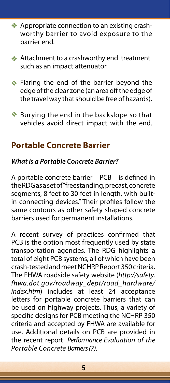- v Appropriate connection to an existing Appropriate connection to an existing crashworthy barrier to avoid exposure to the barrier end.
- v Attachment to a crashworthy end treatment Attachment to a crashworthy end treatment such as an impact attenuator. such as an impact attenuator.
- v Flaring the end of the barrier beyond the Flaring the end of the barrier beyond the edge of the clear zone (an area off the edge of the clear zone (an area off the edge of the travel way that should be free of hazards).
- v Burying the end in the backslope so that Burying the end in the backslope so that vehicles avoid direct impact with the end. vehicles avoid direct impact with the end.

### **Portable Concrete Barrier**

### *What is a Portable Concrete Barrier?*

A portable concrete barrier – PCB – is defined in the RDG as a set of "freestanding, precast, concrete segments, 8 feet to 30 feet in length, with builtin connecting devices." Their profiles follow the same contours as other safety shaped concrete barriers used for permanent installations.

A recent survey of practices confirmed that PCB is the option most frequently used by state transportation agencies. The RDG highlights a total of eight PCB systems, all of which have been crash-tested and meet NCHRP Report 350 criteria. The FHWA roadside safety website (*http://safety. fhwa.dot.gov/roadway\_dept/road\_hardware/ index.htm*) includes at least 24 acceptance letters for portable concrete barriers that can be used on highway projects. Thus, a variety of specific designs for PCB meeting the NCHRP 350 criteria and accepted by FHWA are available for use. Additional details on PCB are provided in the recent report *Performance Evaluation of the Portable Concrete Barriers (7)*.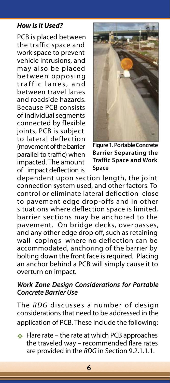#### *How is it Used?*

PCB is placed between the traffic space and work space to prevent vehicle intrusions, and may also be placed between opposing traffic lanes, and between travel lanes and roadside hazards. Because PCB consists of individual segments connected by flexible joints, PCB is subject to lateral deflection (movement of the barrier parallel to traffic) when impacted. The amount of impact deflection is



**Figure 1. Portable Concrete Barrier Separating the Traffic Space and Work Space**

dependent upon section length, the joint connection system used, and other factors. To control or eliminate lateral deflection close to pavement edge drop-offs and in other situations where deflection space is limited, barrier sections may be anchored to the pavement. On bridge decks, overpasses, and any other edge drop off, such as retaining wall copings where no deflection can be accommodated, anchoring of the barrier by bolting down the front face is required. Placing an anchor behind a PCB will simply cause it to overturn on impact.

#### *Work Zone Design Considerations for Portable Concrete Barrier Use*

The *RDG* discusses a number of design considerations that need to be addressed in the application of PCB. These include the following:

v Flare rate – the rate at which PCB approaches Flare rate – the rate at which PCB approaches the traveled way – recommended the traveled way – recommended flare rates are provided in the *RDG* in Section 9.2.1.1.1.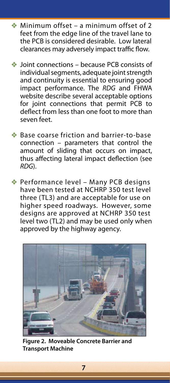- $*$  Minimum offset a minimum offset of 2 feet from the edge line of the travel lane to feet from line of the travel lane to the PCB is considered desirable. Low lateral the PCB is considered Low lateral clearances may adversely impact traffic flow. clearances may adversely impact traffic flow.
- $\triangleq$  Joint connections because PCB consists of individual segments, adequate joint strength and continuity is essential to ensuring good impact performance. The RDG and FHWA website describe several acceptable options for joint connections that permit PCB to deflect from less than one foot to more than seven feet.
- ◆ Base coarse friction and barrier-to-base connection – parameters that control connection – parameters that control the amount of sliding that occurs on impact, thus affecting lateral impact deflection (see deflection (see *RDG*). *RDG*).
- v Performance level Many PCB designs Performance level Many PCB designs have been tested at NCHRP 350 test level have been tested at NCHRP 350 test level three (TL3) and are acceptable for use on three (TL3) and are acceptable for use on higher speed roadways. However, some higher speed roadways. However, some designs are approved at NCHRP 350 test designs are approved at NCHRP 350 test level two (TL2) and may be used only when level two (TL2) and may be used only when approved by the highway agency. approved by the highway agency.



**Figure 2. Moveable Concrete Barrier and Transport Machine**

**7**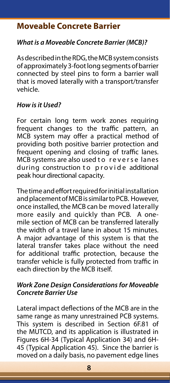### **Moveable Concrete Barrier**

### *What is a Moveable Concrete Barrier (MCB)?*

As described in the RDG, the MCB system consists of approximately 3-foot long segments of barrier connected by steel pins to form a barrier wall that is moved laterally with a transport/transfer vehicle.

#### *How is it Used?*

For certain long term work zones requiring frequent changes to the traffic pattern, an MCB system may offer a practical method of providing both positive barrier protection and frequent opening and closing of traffic lanes. MCB systems are also used to reverse lanes during construction to provide additional peak hour directional capacity.

The time and effort required for initial installation and placement of MCB is similar to PCB. However, once installed, the MCB can be moved laterally more easily and quickly than PCB. A onemile section of MCB can be transferred laterally the width of a travel lane in about 15 minutes. A major advantage of this system is that the lateral transfer takes place without the need for additional traffic protection, because the transfer vehicle is fully protected from traffic in each direction by the MCB itself.

#### *Work Zone Design Considerations for Moveable Concrete Barrier Use*

Lateral impact deflections of the MCB are in the same range as many unrestrained PCB systems. This system is described in Section 6F.81 of the MUTCD, and its application is illustrated in Figures 6H-34 (Typical Application 34) and 6H-45 (Typical Application 45). Since the barrier is moved on a daily basis, no pavement edge lines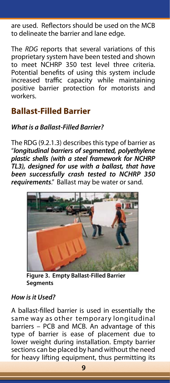are used. Reflectors should be used on the MCB to delineate the barrier and lane edge.

The *RDG* reports that several variations of this proprietary system have been tested and shown to meet NCHRP 350 test level three criteria. Potential benefits of using this system include increased traffic capacity while maintaining positive barrier protection for motorists and workers.

### **Ballast-Filled Barrier**

### *What is a Ballast-Filled Barrier?*

The RDG (9.2.1.3) describes this type of barrier as "*longitudinal barriers of segmented, polyethylene plastic shells (with a steel framework for NCHRP TL3), designed for use with a ballast, that have been successfully crash tested to NCHRP 350 requirements*." Ballast may be water or sand.



**Figure 3. Empty Ballast-Filled Barrier Segments**

### *How is it Used?*

A ballast-filled barrier is used in essentially the same way as other temporary longitudinal barriers – PCB and MCB. An advantage of this type of barrier is ease of placement due to lower weight during installation. Empty barrier sections can be placed by hand without the need for heavy lifting equipment, thus permitting its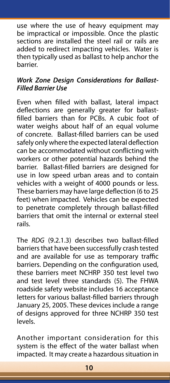use where the use of heavy equipment may be impractical or impossible. Once the plastic sections are installed the steel rail or rails are added to redirect impacting vehicles. Water is then typically used as ballast to help anchor the barrier.

### *Work Zone Design Considerations for Ballast-Filled Barrier Use*

Even when filled with ballast, lateral impact deflections are generally greater for ballastfilled barriers than for PCBs. A cubic foot of water weighs about half of an equal volume of concrete. Ballast-filled barriers can be used safely only where the expected lateral deflection can be accommodated without conflicting with workers or other potential hazards behind the barrier. Ballast-filled barriers are designed for use in low speed urban areas and to contain vehicles with a weight of 4000 pounds or less. These barriers may have large deflection (6 to 25 feet) when impacted. Vehicles can be expected to penetrate completely through ballast-filled barriers that omit the internal or external steel rails.

The *RDG* (9.2.1.3) describes two ballast-filled barriers that have been successfully crash tested and are available for use as temporary traffic barriers. Depending on the configuration used, these barriers meet NCHRP 350 test level two and test level three standards (5). The FHWA roadside safety website includes 16 acceptance letters for various ballast-filled barriers through January 25, 2005. These devices include a range of designs approved for three NCHRP 350 test levels.

Another important consideration for this system is the effect of the water ballast when impacted. It may create a hazardous situation in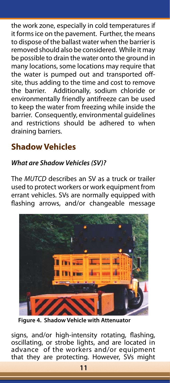the work zone, especially in cold temperatures if it forms ice on the pavement. Further, the means to dispose of the ballast water when the barrier is removed should also be considered. While it may be possible to drain the water onto the ground in many locations, some locations may require that the water is pumped out and transported offsite, thus adding to the time and cost to remove the barrier. Additionally, sodium chloride or environmentally friendly antifreeze can be used to keep the water from freezing while inside the barrier. Consequently, environmental guidelines and restrictions should be adhered to when draining barriers.

### **Shadow Vehicles**

### *What are Shadow Vehicles (SV)?*

The *MUTCD* describes an SV as a truck or trailer used to protect workers or work equipment from errant vehicles. SVs are normally equipped with flashing arrows, and/or changeable message



**Figure 4. Shadow Vehicle with Attenuator**

signs, and/or high-intensity rotating, flashing, oscillating, or strobe lights, and are located in advance of the workers and/or equipment that they are protecting. However, SVs might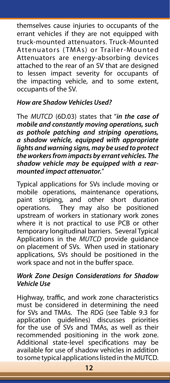themselves cause injuries to occupants of the errant vehicles if they are not equipped with truck-mounted attenuators. Truck-Mounted Attenuators (TMAs) or Trailer-Mounted Attenuators are energy-absorbing devices attached to the rear of an SV that are designed to lessen impact severity for occupants of the impacting vehicle, and to some extent, occupants of the SV.

#### *How are Shadow Vehicles Used?*

The *MUTCD* (6D.03) states that "*in the case of mobile and constantly moving operations, such as pothole patching and striping operations, a shadow vehicle, equipped with appropriate lights and warning signs, may be used to protect the workers from impacts by errant vehicles. The shadow vehicle may be equipped with a rearmounted impact attenuator.*"

Typical applications for SVs include moving or mobile operations, maintenance operations, paint striping, and other short duration operations. They may also be positioned upstream of workers in stationary work zones where it is not practical to use PCB or other temporary longitudinal barriers. Several Typical Applications in the *MUTCD* provide guidance on placement of SVs. When used in stationary applications, SVs should be positioned in the work space and not in the buffer space.

#### *Work Zone Design Considerations for Shadow Vehicle Use*

Highway, traffic, and work zone characteristics must be considered in determining the need for SVs and TMAs. The *RDG* (see Table 9.3 for application guidelines) discusses priorities for the use of SVs and TMAs, as well as their recommended positioning in the work zone. Additional state-level specifications may be available for use of shadow vehicles in addition to some typical applications listed in the MUTCD.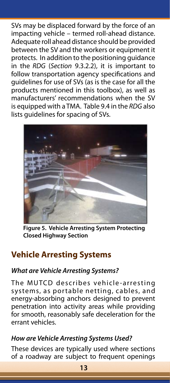SVs may be displaced forward by the force of an impacting vehicle – termed roll-ahead distance. Adequate roll ahead distance should be provided between the SV and the workers or equipment it protects. In addition to the positioning guidance in the *RDG* (*Section* 9.3.2.2), it is important to follow transportation agency specifications and guidelines for use of SVs (as is the case for all the products mentioned in this toolbox), as well as manufacturers' recommendations when the SV is equipped with a TMA. Table 9.4 in the *RDG* also lists guidelines for spacing of SVs.



**Figure 5. Vehicle Arresting System Protecting Closed Highway Section**

### **Vehicle Arresting Systems**

### *What are Vehicle Arresting Systems?*

The MUTCD describes vehicle -arresting systems, as portable netting, cables, and energy-absorbing anchors designed to prevent penetration into activity areas while providing for smooth, reasonably safe deceleration for the errant vehicles.

### *How are Vehicle Arresting Systems Used?*

These devices are typically used where sections of a roadway are subject to frequent openings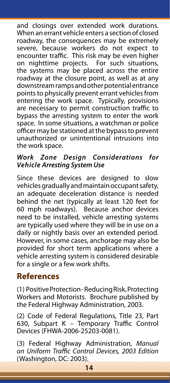and closings over extended work durations. When an errant vehicle enters a section of closed roadway, the consequences may be extremely severe, because workers do not expect to encounter traffic. This risk may be even higher on nighttime projects. For such situations, the systems may be placed across the entire roadway at the closure point, as well as at any downstream ramps and other potential entrance points to physically prevent errant vehicles from entering the work space. Typically, provisions are necessary to permit construction traffic to bypass the arresting system to enter the work space. In some situations, a watchman or police officer may be stationed at the bypass to prevent unauthorized or unintentional intrusions into the work space.

### *Work Zone Design Considerations for Vehicle Arresting System Use*

Since these devices are designed to slow vehicles gradually and maintain occupant safety, an adequate deceleration distance is needed behind the net (typically at least 120 feet for 60 mph roadways). Because anchor devices need to be installed, vehicle arresting systems are typically used where they will be in use on a daily or nightly basis over an extended period. However, in some cases, anchorage may also be provided for short term applications where a vehicle arresting system is considered desirable for a single or a few work shifts.

### **References**

(1) Positive Protection - Reducing Risk, Protecting Workers and Motorists. Brochure published by the Federal Highway Administration, 2003.

(2) Code of Federal Regulations, Title 23, Part 630, Subpart K – Temporary Traffic Control Devices (FHWA-2006-25203-0081).

(3) Federal Highway Administration, *Manual on Uniform Traffic Control Devices, 2003 Edition* (Washington, DC: 2003).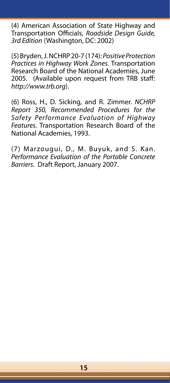(4) American Association of State Highway and Transportation Officials, *Roadside Design Guide, 3rd Edition* (Washington, DC: 2002)

(5) Bryden, J. NCHRP 20-7 (174): *Positive Protection Practices in Highway Work Zones*. Transportation Research Board of the National Academies, June 2005. (Available upon request from TRB staff: *http://www.trb.org*).

(6) Ross, H., D. Sicking, and R. Zimmer. *NCHRP Report 350, Recommended Procedures for the Safety Performance Evaluation of Highway Features*. Transportation Research Board of the National Academies, 1993.

(7) Marzougui, D., M. Buyuk, and S. Kan. *Performance Evaluation of the Portable Concrete Barriers*. Draft Report, January 2007.